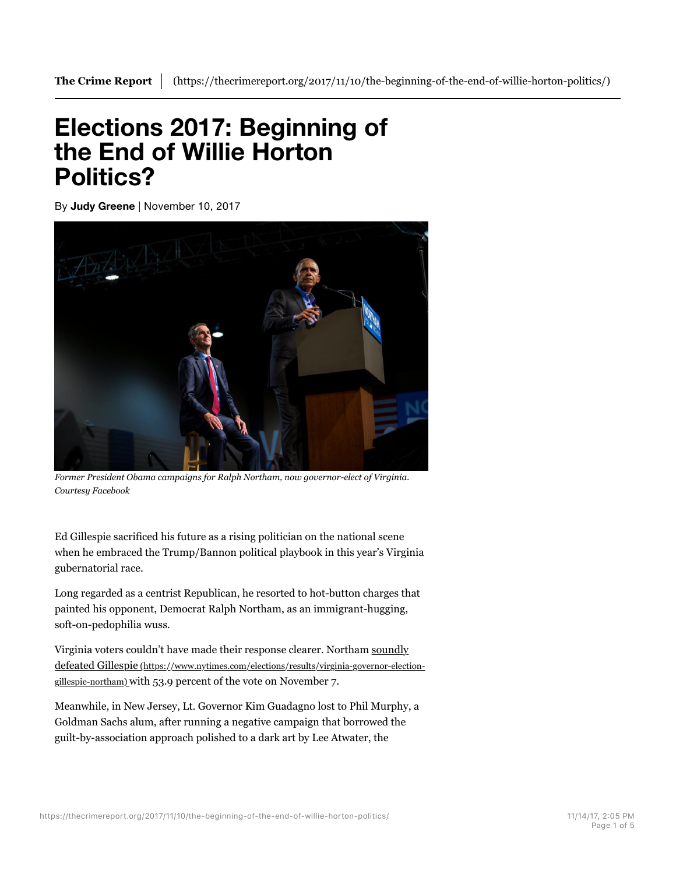## **Elections 2017: Beginning of the End of Willie Horton Politics?**

By **Judy Greene** | November 10, 2017



*Former President Obama campaigns for Ralph Northam, now governor-elect of Virginia. Courtesy Facebook*

Ed Gillespie sacrificed his future as a rising politician on the national scene when he embraced the Trump/Bannon political playbook in this year's Virginia gubernatorial race.

Long regarded as a centrist Republican, he resorted to hot-button charges that painted his opponent, Democrat Ralph Northam, as an immigrant-hugging, soft-on-pedophilia wuss.

Virginia voters couldn't have made their response clearer. Northam soundly defeated Gillespie (https://www.nytimes.com/elections/results/virginia-governor-electiongillespie-northam) with 53.9 percent of the vote on November 7.

Meanwhile, in New Jersey, Lt. Governor Kim Guadagno lost to Phil Murphy, a Goldman Sachs alum, after running a negative campaign that borrowed the guilt-by-association approach polished to a dark art by Lee Atwater, the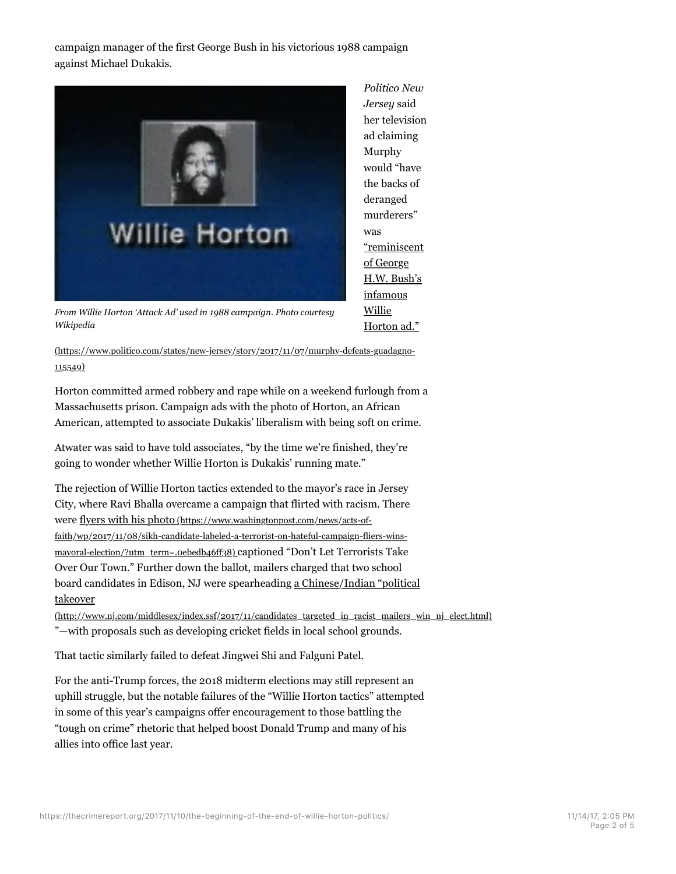campaign manager of the first George Bush in his victorious 1988 campaign against Michael Dukakis.



*Politico New Jersey* said her television ad claiming Murphy would "have the backs of deranged murderers" was "reminiscent of George H.W. Bush's infamous Willie Horton ad."

*From Willie Horton 'Attack Ad' used in 1988 campaign. Photo courtesy Wikipedia*

(https://www.politico.com/states/new-jersey/story/2017/11/07/murphy-defeats-guadagno-115549)

Horton committed armed robbery and rape while on a weekend furlough from a Massachusetts prison. Campaign ads with the photo of Horton, an African American, attempted to associate Dukakis' liberalism with being soft on crime.

Atwater was said to have told associates, "by the time we're finished, they're going to wonder whether Willie Horton is Dukakis' running mate."

The rejection of Willie Horton tactics extended to the mayor's race in Jersey City, where Ravi Bhalla overcame a campaign that flirted with racism. There were flyers with his photo (https://www.washingtonpost.com/news/acts-offaith/wp/2017/11/08/sikh-candidate-labeled-a-terrorist-on-hateful-campaign-fliers-winsmayoral-election/?utm\_term=.0ebedb46ff38) captioned "Don't Let Terrorists Take Over Our Town." Further down the ballot, mailers charged that two school board candidates in Edison, NJ were spearheading a Chinese/Indian "political takeover

(http://www.nj.com/middlesex/index.ssf/2017/11/candidates\_targeted\_in\_racist\_mailers\_win\_nj\_elect.html) "—with proposals such as developing cricket fields in local school grounds.

That tactic similarly failed to defeat Jingwei Shi and Falguni Patel.

For the anti-Trump forces, the 2018 midterm elections may still represent an uphill struggle, but the notable failures of the "Willie Horton tactics" attempted in some of this year's campaigns offer encouragement to those battling the "tough on crime" rhetoric that helped boost Donald Trump and many of his allies into office last year.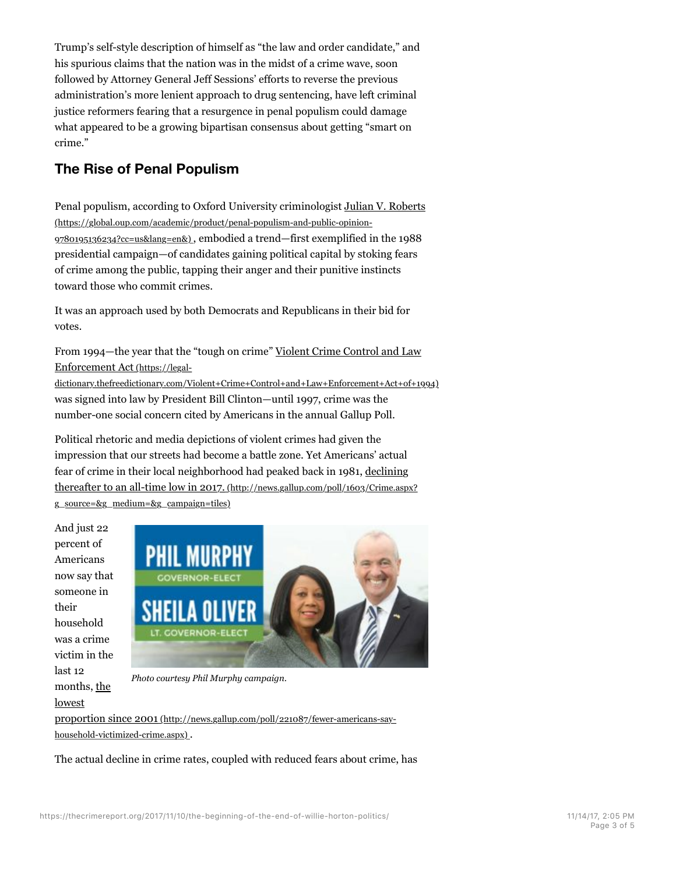Trump's self-style description of himself as "the law and order candidate," and his spurious claims that the nation was in the midst of a crime wave, soon followed by Attorney General Jeff Sessions' efforts to reverse the previous administration's more lenient approach to drug sentencing, have left criminal justice reformers fearing that a resurgence in penal populism could damage what appeared to be a growing bipartisan consensus about getting "smart on crime."

## **The Rise of Penal Populism**

Penal populism, according to Oxford University criminologist Julian V. Roberts (https://global.oup.com/academic/product/penal-populism-and-public-opinion-9780195136234?cc=us&lang=en&) , embodied a trend—first exemplified in the 1988 presidential campaign—of candidates gaining political capital by stoking fears of crime among the public, tapping their anger and their punitive instincts toward those who commit crimes.

It was an approach used by both Democrats and Republicans in their bid for votes.

From 1994—the year that the "tough on crime" Violent Crime Control and Law Enforcement Act (https://legal-

dictionary.thefreedictionary.com/Violent+Crime+Control+and+Law+Enforcement+Act+of+1994) was signed into law by President Bill Clinton—until 1997, crime was the number-one social concern cited by Americans in the annual Gallup Poll.

Political rhetoric and media depictions of violent crimes had given the impression that our streets had become a battle zone. Yet Americans' actual fear of crime in their local neighborhood had peaked back in 1981, declining thereafter to an all-time low in 2017. (http://news.gallup.com/poll/1603/Crime.aspx? g\_source=&g\_medium=&g\_campaign=tiles)

And just 22 percent of Americans now say that someone in their household was a crime victim in the last 12 months, the lowest



*Photo courtesy Phil Murphy campaign.*

proportion since 2001 (http://news.gallup.com/poll/221087/fewer-americans-sayhousehold-victimized-crime.aspx) .

The actual decline in crime rates, coupled with reduced fears about crime, has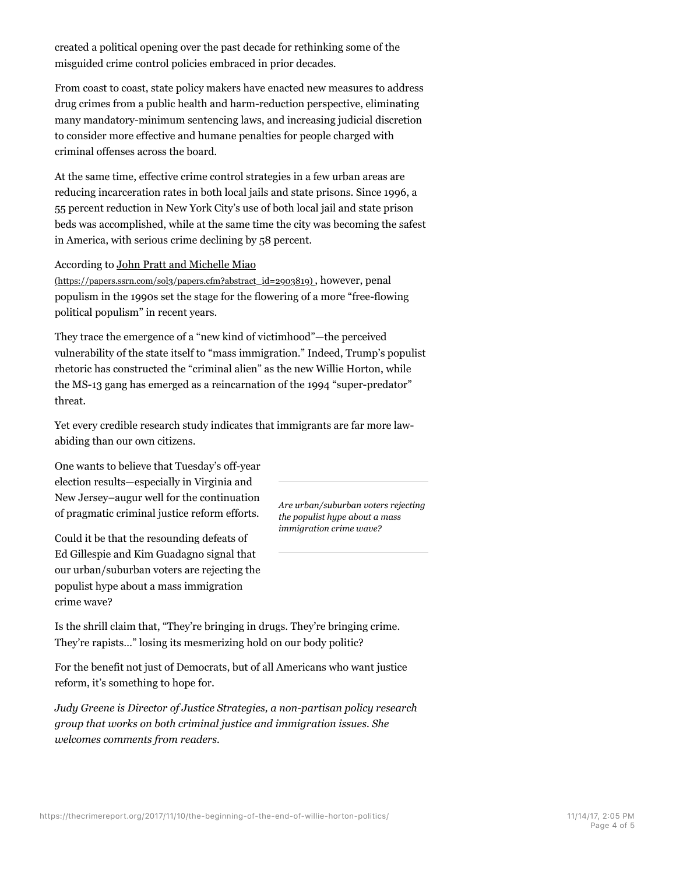created a political opening over the past decade for rethinking some of the misguided crime control policies embraced in prior decades.

From coast to coast, state policy makers have enacted new measures to address drug crimes from a public health and harm-reduction perspective, eliminating many mandatory-minimum sentencing laws, and increasing judicial discretion to consider more effective and humane penalties for people charged with criminal offenses across the board.

At the same time, effective crime control strategies in a few urban areas are reducing incarceration rates in both local jails and state prisons. Since 1996, a 55 percent reduction in New York City's use of both local jail and state prison beds was accomplished, while at the same time the city was becoming the safest in America, with serious crime declining by 58 percent.

## According to John Pratt and Michelle Miao

(https://papers.ssrn.com/sol3/papers.cfm?abstract\_id=2903819) , however, penal populism in the 1990s set the stage for the flowering of a more "free-flowing political populism" in recent years.

They trace the emergence of a "new kind of victimhood"—the perceived vulnerability of the state itself to "mass immigration." Indeed, Trump's populist rhetoric has constructed the "criminal alien" as the new Willie Horton, while the MS-13 gang has emerged as a reincarnation of the 1994 "super-predator" threat.

Yet every credible research study indicates that immigrants are far more lawabiding than our own citizens.

One wants to believe that Tuesday's off-year election results—especially in Virginia and New Jersey–augur well for the continuation of pragmatic criminal justice reform efforts.

Could it be that the resounding defeats of Ed Gillespie and Kim Guadagno signal that our urban/suburban voters are rejecting the populist hype about a mass immigration crime wave?

*Are urban/suburban voters rejecting the populist hype about a mass immigration crime wave?*

Is the shrill claim that, "They're bringing in drugs. They're bringing crime. They're rapists…" losing its mesmerizing hold on our body politic?

For the benefit not just of Democrats, but of all Americans who want justice reform, it's something to hope for.

*Judy Greene is Director of Justice Strategies, a non-partisan policy research group that works on both criminal justice and immigration issues. She welcomes comments from readers.*